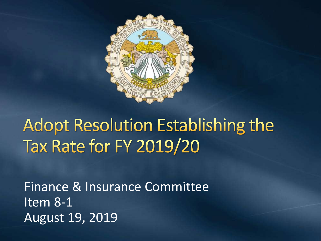

# **Adopt Resolution Establishing the Tax Rate for FY 2019/20**

Finance & Insurance Committee Item 8-1 August 19, 2019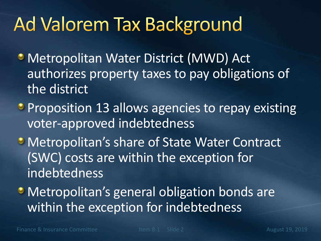# **Ad Valorem Tax Background**

- Metropolitan Water District (MWD) Act authorizes property taxes to pay obligations of the district
- **Proposition 13 allows agencies to repay existing** voter-approved indebtedness
- **Metropolitan's share of State Water Contract** (SWC) costs are within the exception for indebtedness
- **Metropolitan's general obligation bonds are** within the exception for indebtedness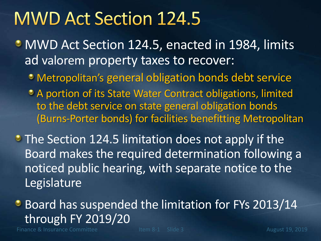### **MWD Act Section 124.5**

- MWD Act Section 124.5, enacted in 1984, limits ad valorem property taxes to recover:
	- Metropolitan's general obligation bonds debt service
	- <sup>o</sup> A portion of its State Water Contract obligations, limited to the debt service on state general obligation bonds (Burns-Porter bonds) for facilities benefitting Metropolitan
- **The Section 124.5 limitation does not apply if the** Board makes the required determination following a noticed public hearing, with separate notice to the Legislature

**Board has suspended the limitation for FYs 2013/14** through FY 2019/20

Finance & Insurance Committee The Item 8-1 Slide 3 August 19, 2019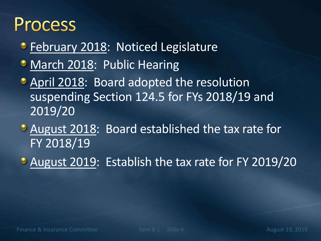### **Process**

- **February 2018: Noticed Legislature**
- March 2018: Public Hearing
- **April 2018: Board adopted the resolution** suspending Section 124.5 for FYs 2018/19 and 2019/20
- August 2018: Board established the tax rate for FY 2018/19
- August 2019: Establish the tax rate for FY 2019/20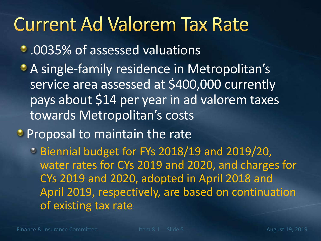## **Current Ad Valorem Tax Rate**

- .0035% of assessed valuations
- A single-family residence in Metropolitan's service area assessed at \$400,000 currently pays about \$14 per year in ad valorem taxes towards Metropolitan's costs
- **Proposal to maintain the rate**

Biennial budget for FYs 2018/19 and 2019/20, water rates for CYs 2019 and 2020, and charges for CYs 2019 and 2020, adopted in April 2018 and April 2019, respectively, are based on continuation of existing tax rate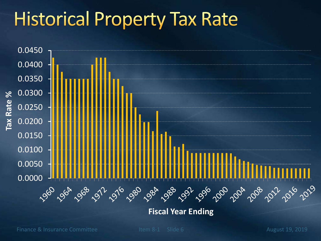# **Historical Property Tax Rate**



**Fiscal Year Ending**

Finance & Insurance Committee Item 8-1 Slide 6 August 19, 2019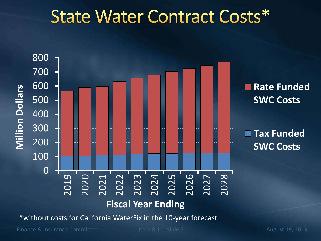## State Water Contract Costs\*



\*without costs for California WaterFix in the 10-year forecast

Finance & Insurance Committee Item 8-1 Slide 7 August 19, 2019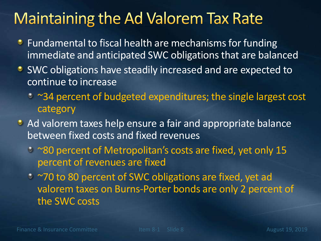#### **Maintaining the Ad Valorem Tax Rate**

- **•** Fundamental to fiscal health are mechanisms for funding immediate and anticipated SWC obligations that are balanced
- **SWC obligations have steadily increased and are expected to** continue to increase
	- ~34 percent of budgeted expenditures; the single largest cost category
- Ad valorem taxes help ensure a fair and appropriate balance between fixed costs and fixed revenues
	- ~80 percent of Metropolitan's costs are fixed, yet only 15 percent of revenues are fixed
	- ~70 to 80 percent of SWC obligations are fixed, yet ad valorem taxes on Burns-Porter bonds are only 2 percent of the SWC costs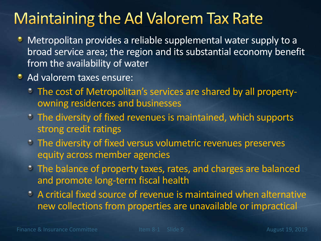### **Maintaining the Ad Valorem Tax Rate**

- Metropolitan provides a reliable supplemental water supply to a broad service area; the region and its substantial economy benefit from the availability of water
- **Ad valorem taxes ensure:** 
	- The cost of Metropolitan's services are shared by all propertyowning residences and businesses
	- The diversity of fixed revenues is maintained, which supports strong credit ratings
	- The diversity of fixed versus volumetric revenues preserves equity across member agencies
	- The balance of property taxes, rates, and charges are balanced and promote long-term fiscal health
	- A critical fixed source of revenue is maintained when alternative new collections from properties are unavailable or impractical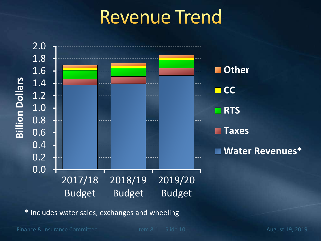## **Revenue Trend**



\* Includes water sales, exchanges and wheeling

Finance & Insurance Committee Item 8-1 Slide 10 August 19, 2019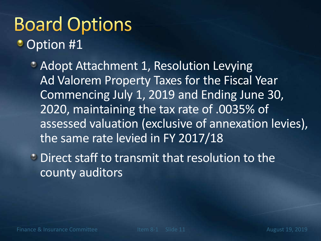## **Board Options Option #1**

- Adopt Attachment 1, Resolution Levying Ad Valorem Property Taxes for the Fiscal Year Commencing July 1, 2019 and Ending June 30, 2020, maintaining the tax rate of .0035% of assessed valuation (exclusive of annexation levies), the same rate levied in FY 2017/18
- **C** Direct staff to transmit that resolution to the county auditors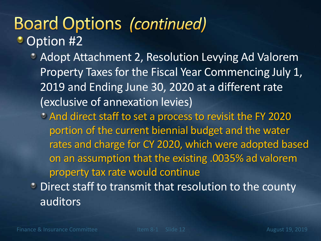### **Board Options (continued)** Option #2

- **Adopt Attachment 2, Resolution Levying Ad Valorem** Property Taxes for the Fiscal Year Commencing July 1, 2019 and Ending June 30, 2020 at a different rate (exclusive of annexation levies)
	- And direct staff to set a process to revisit the FY 2020 portion of the current biennial budget and the water rates and charge for CY 2020, which were adopted based on an assumption that the existing .0035% ad valorem property tax rate would continue
- **Direct staff to transmit that resolution to the county** auditors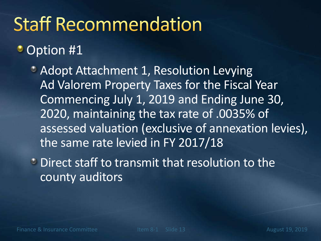# **Staff Recommendation**

#### **Option #1**

- Adopt Attachment 1, Resolution Levying Ad Valorem Property Taxes for the Fiscal Year Commencing July 1, 2019 and Ending June 30, 2020, maintaining the tax rate of .0035% of assessed valuation (exclusive of annexation levies), the same rate levied in FY 2017/18
- **C** Direct staff to transmit that resolution to the county auditors